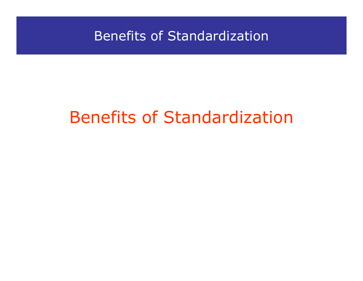# Benefits of Standardization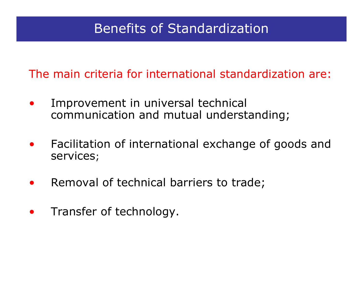The main criteria for international standardization are:

- $\bullet$  Improvement in universal technical communication and mutual understanding;
- $\bullet$  Facilitation of international exchange of goods and services;
- •Removal of technical barriers to trade;
- $\bullet$ Transfer of technology.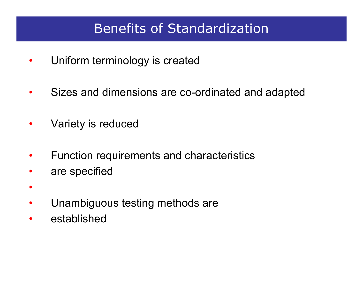- •Uniform terminology is created
- •Sizes and dimensions are co-ordinated and adapted
- •Variety is reduced
- •Function requirements and characteristics
- •are specified
- •Unambiguous testing methods are
- •established

•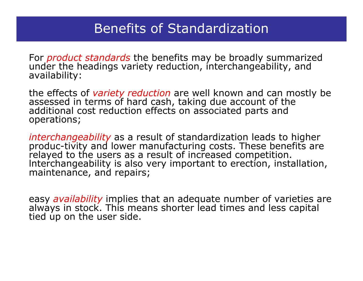For *product standards* the benefits may be broadly summarized under the headings variety reduction, interchangeability, and<br>availability:

the effects of *variety reduction* are well known and can mostly be assessed in terms of hard cash, taking due account of the additional cost reduction effects on associated parts and operations;

*interchangeability* as a result of standardization leads to higher produc-tivity and lower manufacturing costs. These benefits are relayed to the users as a result of increased competition. Interchangeability is also very important to erection, installation, maintenance, and repairs;

easy *availability* implies that an adequate number of varieties are always in stock. This means shorter lead times and less capital tied up on the user side.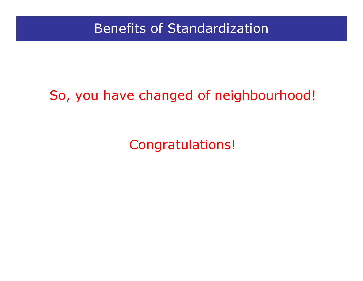# So, you have changed of neighbourhood!

Congratulations!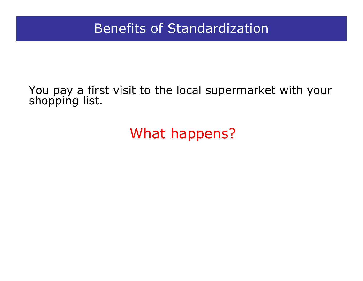#### You pay a first visit to the local supermarket with your shopping list.

# What happens?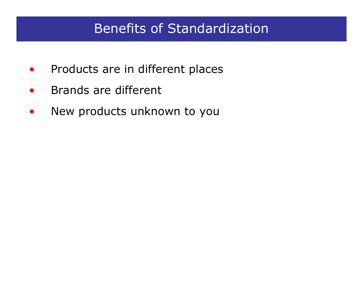- $\bullet$ Products are in different places
- •Brands are different
- $\bullet$ New products unknown to you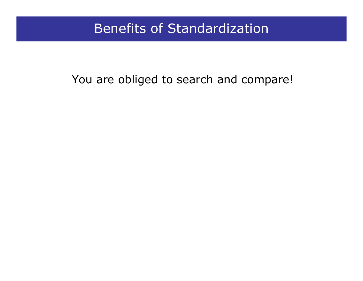### You are obliged to search and compare!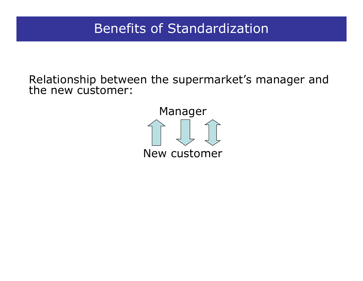Relationship between the supermarket's manager and the new customer:

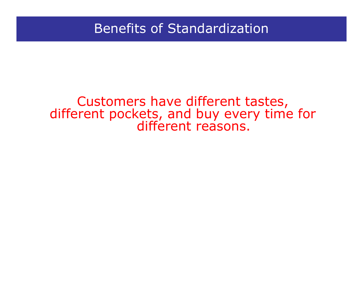# Customers have different tastes, different pockets, and buy every time for different reasons.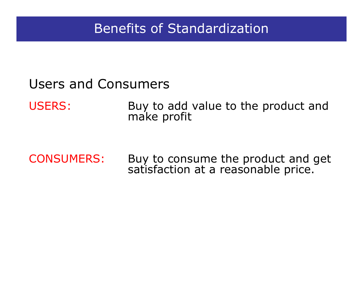### Users and Consumers

USERS: Buy to add value to the product and make profit

CONSUMERS:Buy to consume the product and get satisfaction at a reasonable price.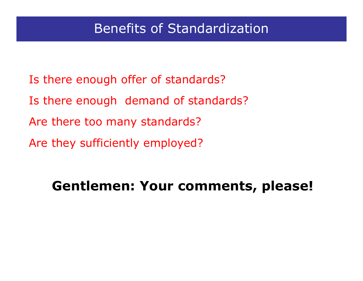- Is there enough offer of standards?
- Is there enough demand of standards?
- Are there too many standards?
- Are they sufficiently employed?

# **Gentlemen: Your comments, please!**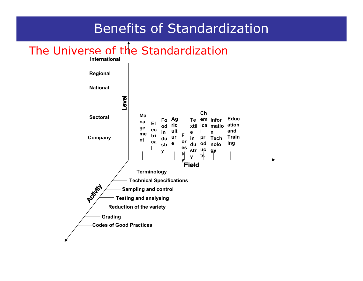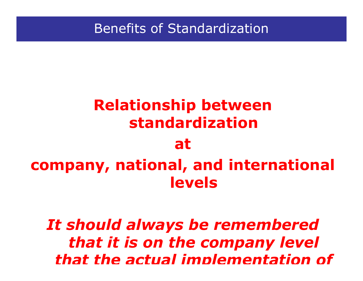# **Relationship between standardization at company, national, and international levels**

*It should always be remembered that it is on the company level that the actual implementation of*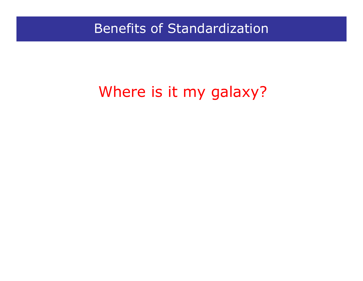# Where is it my galaxy?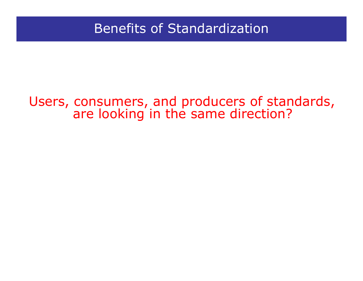# Users, consumers, and producers of standards, are looking in the same direction?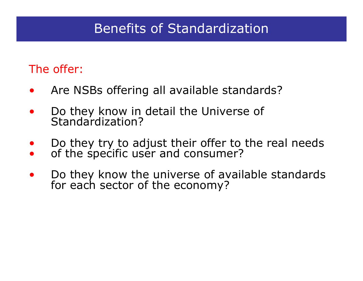### The offer:

- $\bullet$ Are NSBs offering all available standards?
- $\bullet$ Do they know in detail the Universe of Standardization?
- $\bullet$  Do they try to adjust their offer to the real needs  $\bullet$ of the specific user and consumer?
- $\bullet$ Do they know the universe of available standards for each sector of the economy?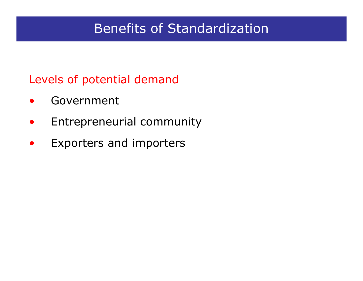### Levels of potential demand

- $\bullet$ Government
- $\bullet$ Entrepreneurial community
- •Exporters and importers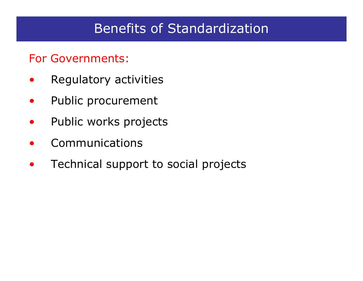### For Governments:

- $\bullet$ Regulatory activities
- $\bullet$ Public procurement
- $\bullet$ Public works projects
- $\bullet$ Communications
- •Technical support to social projects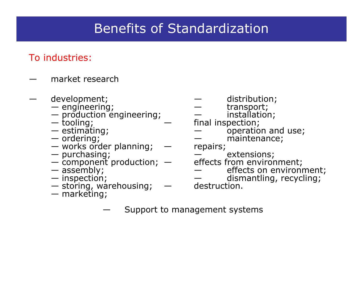#### To industries:

- market research
- -
	- $-$  production engineering;  $\qquad \qquad \qquad$  installation;
	- tooling;
	- estimating;
	- ordering;
	- works order planning; repairs;
	-
	- $-$  component production;  $-$  effects from environment;
	- assembly;
	- $-$  inspection;
	- $-$  storing, warehousing;  $\quad -$  destruction.
	- marketing;
- development;  $\qquad \qquad -$  distribution;
- $-$  engineering;  $\hphantom{i_1}$  and  $-$  transport;
	-
	- final inspection;
	- operation and use;
		- maintenance;

- purchasing; extensions;
	- effects from environment;<br>
	effects on environment;
		-
	- dismantling, recycling;<br>destruction.
	- —Support to management systems
-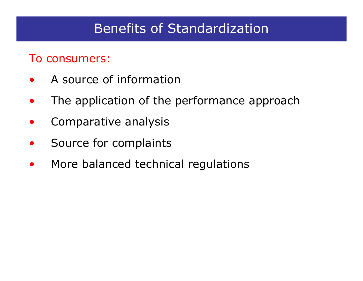#### To consumers:

- $\bullet$ A source of information
- $\bullet$ The application of the performance approach
- $\bullet$ Comparative analysis
- $\bullet$ Source for complaints
- $\bullet$ More balanced technical regulations